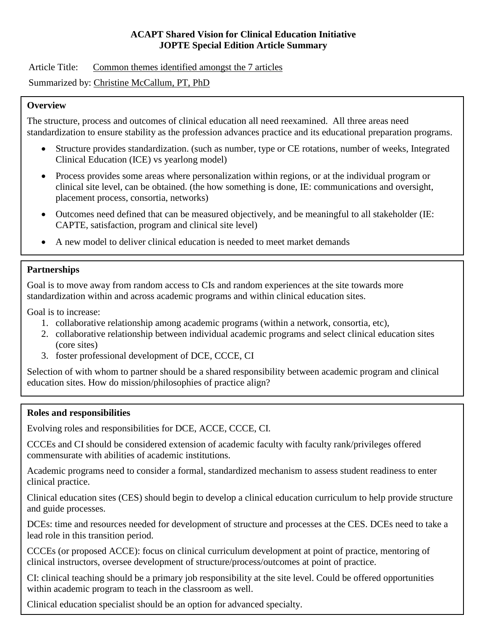### **ACAPT Shared Vision for Clinical Education Initiative JOPTE Special Edition Article Summary**

Article Title: Common themes identified amongst the 7 articles

Summarized by: Christine McCallum, PT, PhD

## **Overview**

The structure, process and outcomes of clinical education all need reexamined. All three areas need standardization to ensure stability as the profession advances practice and its educational preparation programs.

- Structure provides standardization. (such as number, type or CE rotations, number of weeks, Integrated Clinical Education (ICE) vs yearlong model)
- Process provides some areas where personalization within regions, or at the individual program or clinical site level, can be obtained. (the how something is done, IE: communications and oversight, placement process, consortia, networks)
- Outcomes need defined that can be measured objectively, and be meaningful to all stakeholder (IE: CAPTE, satisfaction, program and clinical site level)
- A new model to deliver clinical education is needed to meet market demands

# **Partnerships**

Goal is to move away from random access to CIs and random experiences at the site towards more standardization within and across academic programs and within clinical education sites.

Goal is to increase:

- 1. collaborative relationship among academic programs (within a network, consortia, etc),
- 2. collaborative relationship between individual academic programs and select clinical education sites (core sites)
- 3. foster professional development of DCE, CCCE, CI

Selection of with whom to partner should be a shared responsibility between academic program and clinical education sites. How do mission/philosophies of practice align?

### **Roles and responsibilities**

Evolving roles and responsibilities for DCE, ACCE, CCCE, CI.

CCCEs and CI should be considered extension of academic faculty with faculty rank/privileges offered commensurate with abilities of academic institutions.

Academic programs need to consider a formal, standardized mechanism to assess student readiness to enter clinical practice.

Clinical education sites (CES) should begin to develop a clinical education curriculum to help provide structure and guide processes.

DCEs: time and resources needed for development of structure and processes at the CES. DCEs need to take a lead role in this transition period.

CCCEs (or proposed ACCE): focus on clinical curriculum development at point of practice, mentoring of clinical instructors, oversee development of structure/process/outcomes at point of practice.

CI: clinical teaching should be a primary job responsibility at the site level. Could be offered opportunities within academic program to teach in the classroom as well.

Clinical education specialist should be an option for advanced specialty.